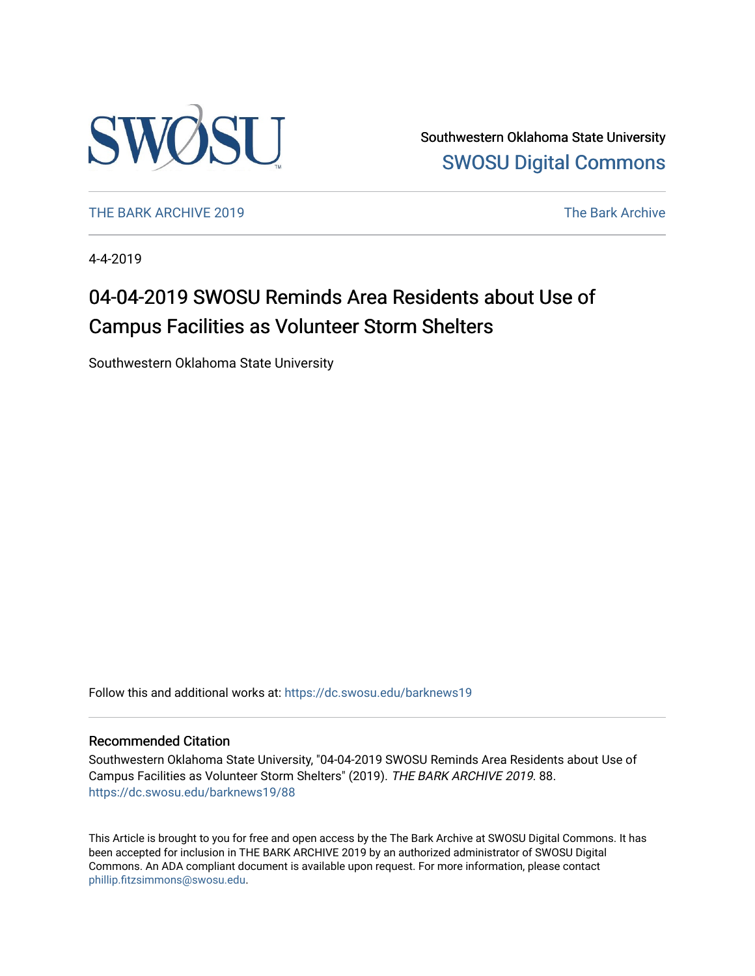

Southwestern Oklahoma State University [SWOSU Digital Commons](https://dc.swosu.edu/) 

[THE BARK ARCHIVE 2019](https://dc.swosu.edu/barknews19) The Bark Archive

4-4-2019

### 04-04-2019 SWOSU Reminds Area Residents about Use of Campus Facilities as Volunteer Storm Shelters

Southwestern Oklahoma State University

Follow this and additional works at: [https://dc.swosu.edu/barknews19](https://dc.swosu.edu/barknews19?utm_source=dc.swosu.edu%2Fbarknews19%2F88&utm_medium=PDF&utm_campaign=PDFCoverPages)

#### Recommended Citation

Southwestern Oklahoma State University, "04-04-2019 SWOSU Reminds Area Residents about Use of Campus Facilities as Volunteer Storm Shelters" (2019). THE BARK ARCHIVE 2019. 88. [https://dc.swosu.edu/barknews19/88](https://dc.swosu.edu/barknews19/88?utm_source=dc.swosu.edu%2Fbarknews19%2F88&utm_medium=PDF&utm_campaign=PDFCoverPages) 

This Article is brought to you for free and open access by the The Bark Archive at SWOSU Digital Commons. It has been accepted for inclusion in THE BARK ARCHIVE 2019 by an authorized administrator of SWOSU Digital Commons. An ADA compliant document is available upon request. For more information, please contact [phillip.fitzsimmons@swosu.edu](mailto:phillip.fitzsimmons@swosu.edu).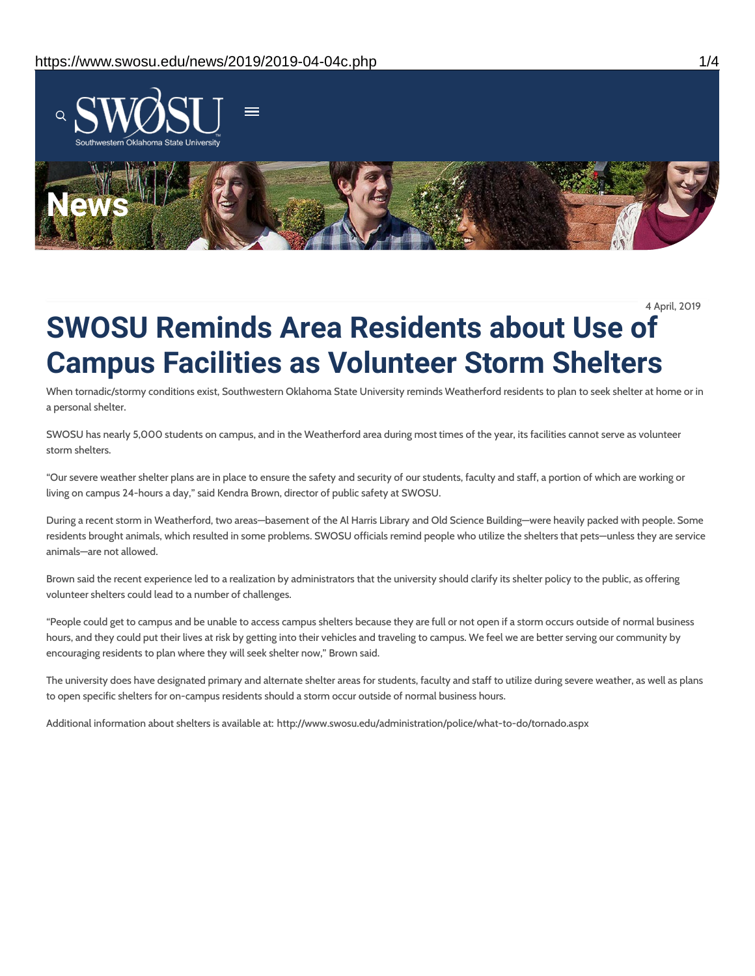

4 April, 2019

# **SWOSU Reminds Area Residents about Use of Campus Facilities as Volunteer Storm Shelters**

When tornadic/stormy conditions exist, Southwestern Oklahoma State University reminds Weatherford residents to plan to seek shelter at home or in a personal shelter.

SWOSU has nearly 5,000 students on campus, and in the Weatherford area during most times of the year, its facilities cannot serve as volunteer storm shelters.

"Our severe weather shelter plans are in place to ensure the safety and security of our students, faculty and staff, a portion of which are working or living on campus 24-hours a day," said Kendra Brown, director of public safety at SWOSU.

During a recent storm in Weatherford, two areas—basement of the Al Harris Library and Old Science Building—were heavily packed with people. Some residents brought animals, which resulted in some problems. SWOSU officials remind people who utilize the shelters that pets—unless they are service animals—are not allowed.

Brown said the recent experience led to a realization by administrators that the university should clarify its shelter policy to the public, as offering volunteer shelters could lead to a number of challenges.

"People could get to campus and be unable to access campus shelters because they are full or not open if a storm occurs outside of normal business hours, and they could put their lives at risk by getting into their vehicles and traveling to campus. We feel we are better serving our community by encouraging residents to plan where they will seek shelter now," Brown said.

The university does have designated primary and alternate shelter areas for students, faculty and staff to utilize during severe weather, as well as plans to open specific shelters for on-campus residents should a storm occur outside of normal business hours.

Additional information about shelters is available at: http://www.swosu.edu/administration/police/what-to-do/tornado.aspx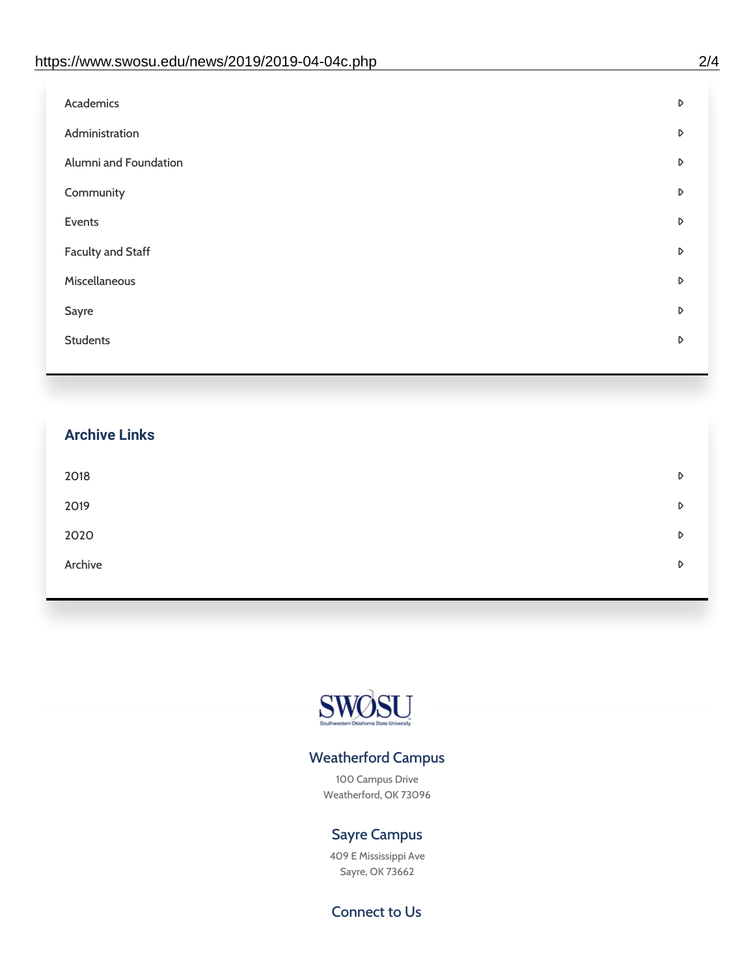| D |
|---|
| D |
| D |
| D |
| D |
| D |
| D |
| D |
| D |
|   |

## **Archive Links**  $2018$  $2019$ [2020](https://www.swosu.edu/news/2020/index.php)  $\bullet$ [Archive](https://dc.swosu.edu/bark/) **Archive Archive Archive Archive Archive** Archive Archive Archive Archive Archive Archive Archive Archive



### Weatherford Campus

100 Campus Drive Weatherford, OK 73096

### Sayre Campus

409 E Mississippi Ave Sayre, OK 73662

Connect to Us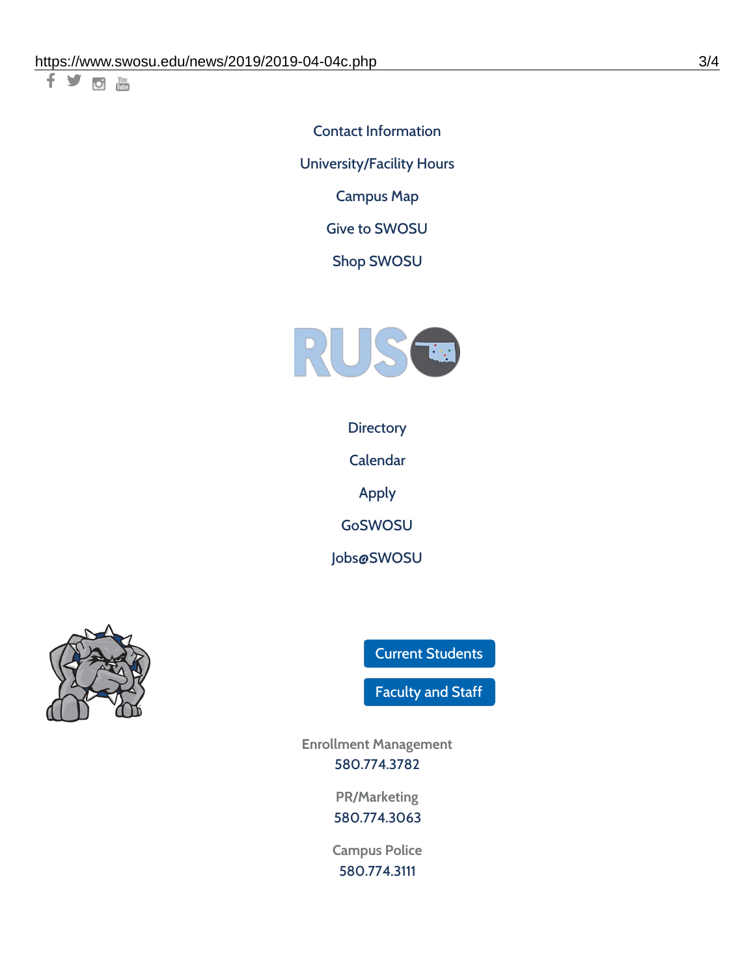千岁回调

Contact [Information](https://www.swosu.edu/about/contact.php) [University/Facility](https://www.swosu.edu/about/operating-hours.php) Hours [Campus](https://map.concept3d.com/?id=768#!ct/10964,10214,10213,10212,10205,10204,10203,10202,10136,10129,10128,0,31226,10130,10201,10641,0) Map

Give to [SWOSU](https://standingfirmly.com/donate)

Shop [SWOSU](https://shopswosu.merchorders.com/)



**[Directory](https://www.swosu.edu/directory/index.php)** 

[Calendar](https://eventpublisher.dudesolutions.com/swosu/)

[Apply](https://www.swosu.edu/admissions/apply-to-swosu.php)

[GoSWOSU](https://qlsso.quicklaunchsso.com/home/1267)

[Jobs@SWOSU](https://swosu.csod.com/ux/ats/careersite/1/home?c=swosu)



Current [Students](https://bulldog.swosu.edu/index.php)

[Faculty](https://bulldog.swosu.edu/faculty-staff/index.php) and Staff

**Enrollment Management** [580.774.3782](tel:5807743782)

> **PR/Marketing** [580.774.3063](tel:5807743063)

**Campus Police** [580.774.3111](tel:5807743111)